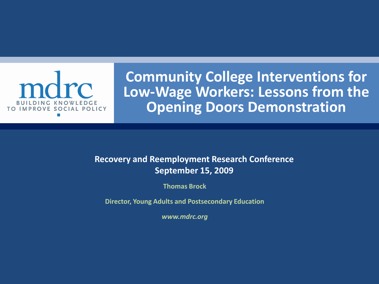

**Community College Interventions for Low-Wage Workers: Lessons from the Opening Doors Demonstration** 

#### **Recovery and Reemployment Research Conference September 15, 2009**

**Thomas Brock**

 **Director, Young Adults and Postsecondary Education**

*www.mdrc.org*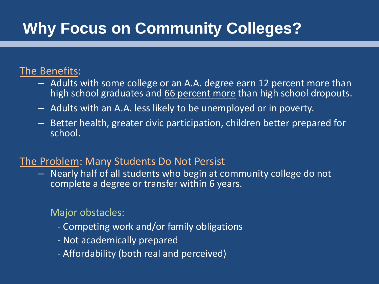# **Why Focus on Community Colleges?**

#### The Benefits:

- Adults with some college or an A.A. degree earn 12 percent more than high school graduates and 66 percent more than high school dropouts.
- $-$  Adults with an A.A. less likely to be unemployed or in poverty.
- $-$  Better health, greater civic participation, children better prepared for school.

#### The Problem: Many Students Do Not Persist

 $-$  Nearly half of all students who begin at community college do not complete a degree or transfer within 6 years.

#### Major obstacles:

- Competing work and/or family obligations
- Not academically prepared
- Affordability (both real and perceived)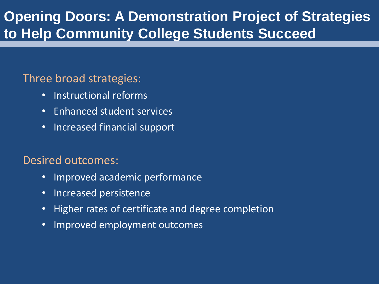### **Opening Doors: A Demonstration Project of Strategies to Help Community College Students Succeed**

#### Three broad strategies:

- Instructional reforms
- Enhanced student services
- Increased financial support

#### Desired outcomes:

- Improved academic performance
- Increased persistence
- Higher rates of certificate and degree completion
- Improved employment outcomes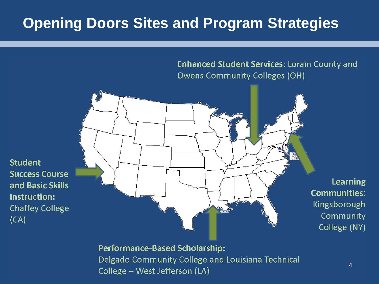### **Opening Doors Sites and Program Strategies**

**Student** 

 $(CA)$ 

**Enhanced Student Services: Lorain County and Owens Community Colleges (OH)** 



**Performance-Based Scholarship:** Delgado Community College and Louisiana Technical College - West Jefferson (LA)

4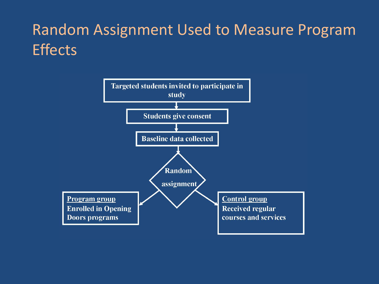# Random Assignment Used to Measure Program **Effects**

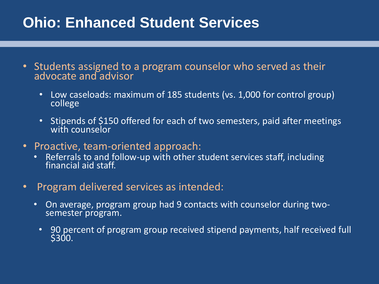### **Ohio: Enhanced Student Services**

- Students assigned to a program counselor who served as their advocate and advisor
	- Low caseloads: maximum of 185 students (vs. 1,000 for control group) college
	- Stipends of \$150 offered for each of two semesters, paid after meetings with counselor
- Proactive, team-oriented approach:
	- • Referrals to and follow-up with other student services staff, including financial aid staff.
- Program delivered services as intended:
	- On average, program group had 9 contacts with counselor during twosemester program.
		- 90 percent of program group received stipend payments, half received full **\$300.**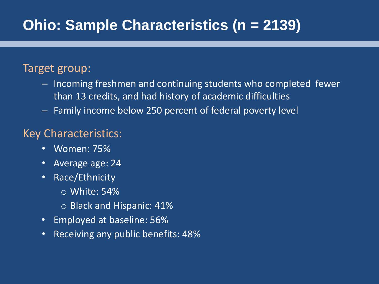### **Ohio: Sample Characteristics (n = 2139)**

### Target group:

- than 13 credits, and had history of academic difficulties  $-$  Incoming freshmen and continuing students who completed fewer
- $-$  Family income below 250 percent of federal poverty level

#### Key Characteristics:

- • Women: 75%
- Average age: 24
- Race/Ethnicity
	- $\circ$  White: 54%
	- $\circ$  Black and Hispanic: 41%
- • Employed at baseline: 56%
- • Receiving any public benefits: 48%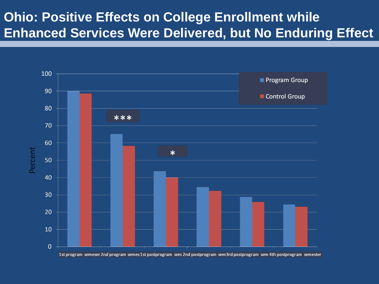### **Ohio: Positive Effects on College Enrollment while Enhanced Services Were Delivered, but No Enduring Effect**

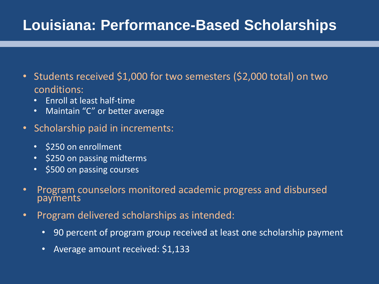### **Louisiana: Performance-Based Scholarships**

- Students received \$1,000 for two semesters (\$2,000 total) on two conditions:
	- Enroll at least half-time
	- Maintain "C" or better average
- Scholarship paid in increments:
	- • \$250 on enrollment
	- \$250 on passing midterms
	- \$500 on passing courses
- • Program counselors monitored academic progress and disbursed payments
- • Program delivered scholarships as intended:
	- 90 percent of program group received at least one scholarship payment
	- Average amount received: \$1,133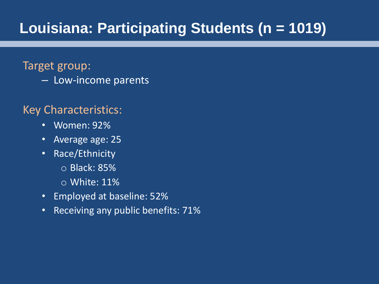### **Louisiana: Participating Students (n = 1019)**

#### Target group:

– Low-income parents

#### Key Characteristics:

- Women: 92%
- Average age: 25
- Race/Ethnicity
	- o Black: 85%
	- $\circ$  White: 11%
- Employed at baseline: 52%
- Receiving any public benefits: 71%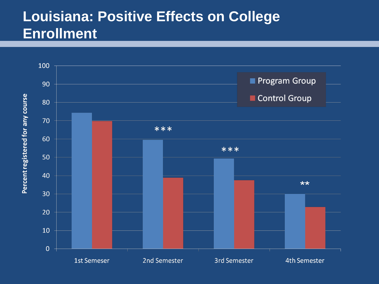### **Louisiana: Positive Effects on College Enrollment**

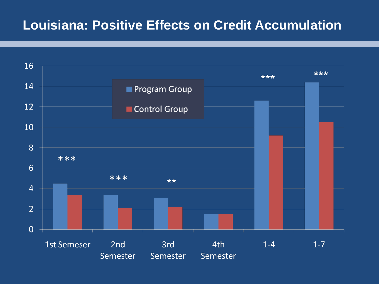### **Louisiana: Positive Effects on Credit Accumulation**

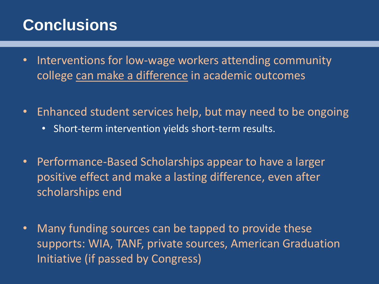## **Conclusions**

- college can make a difference in academic outcomes • Interventions for low-wage workers attending community
- Enhanced student services help, but may need to be ongoing
	- Short-term intervention yields short-term results.
- Performance-Based Scholarships appear to have a larger positive effect and make a lasting difference, even after scholarships end
- Many funding sources can be tapped to provide these supports: WIA, TANF, private sources, American Graduation Initiative (if passed by Congress)